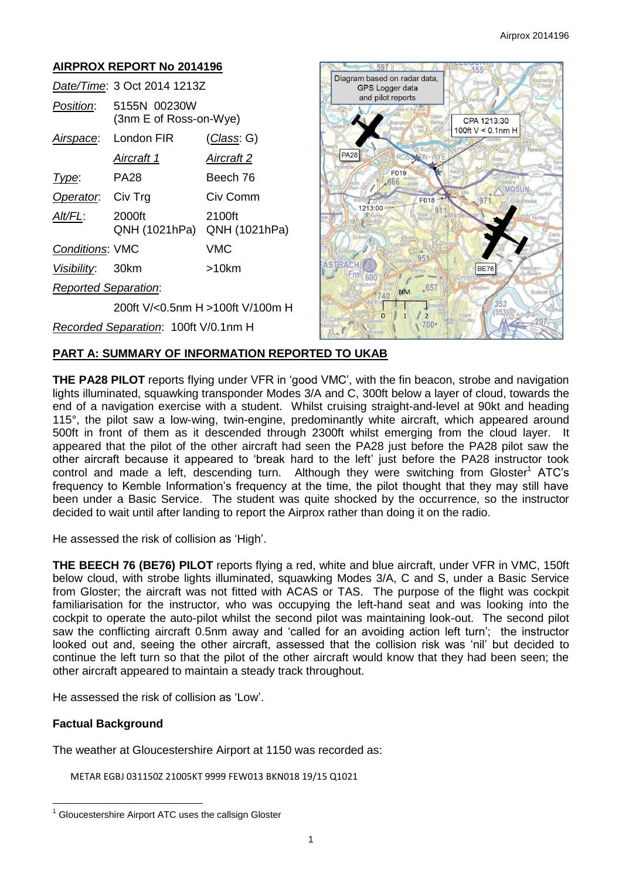# **AIRPROX REPORT No 2014196**

|                             | Date/Time: 3 Oct 2014 1213Z            |            |
|-----------------------------|----------------------------------------|------------|
| <i>Position</i> :           | 5155N 00230W<br>(3nm E of Ross-on-Wye) |            |
|                             | Airspace: London FIR                   | (Class: G) |
|                             | Aircraft 1                             | Aircraft 2 |
| Type:                       | PA28                                   | Beech 76   |
| Operator.                   | Civ Trg                                | Civ Comm   |
| Alt/FL:                     | 2000ft<br>QNH (1021hPa) QNH (1021hPa)  | 2100ft     |
| <b>Conditions: VMC</b>      |                                        | <b>VMC</b> |
| Visibility: 30km            |                                        | $>10$ km   |
| <b>Reported Separation:</b> |                                        |            |
|                             | 200ft V/<0.5nm H >100ft V/100m H       |            |
|                             | Recorded Separation: 100ft V/0.1nm H   |            |



### **PART A: SUMMARY OF INFORMATION REPORTED TO UKAB**

**THE PA28 PILOT** reports flying under VFR in 'good VMC', with the fin beacon, strobe and navigation lights illuminated, squawking transponder Modes 3/A and C, 300ft below a layer of cloud, towards the end of a navigation exercise with a student. Whilst cruising straight-and-level at 90kt and heading 115°, the pilot saw a low-wing, twin-engine, predominantly white aircraft, which appeared around 500ft in front of them as it descended through 2300ft whilst emerging from the cloud layer. It appeared that the pilot of the other aircraft had seen the PA28 just before the PA28 pilot saw the other aircraft because it appeared to 'break hard to the left' just before the PA28 instructor took control and made a left, descending turn. Although they were switching from Gloster<sup>1</sup> ATC's frequency to Kemble Information's frequency at the time, the pilot thought that they may still have been under a Basic Service. The student was quite shocked by the occurrence, so the instructor decided to wait until after landing to report the Airprox rather than doing it on the radio.

He assessed the risk of collision as 'High'.

**THE BEECH 76 (BE76) PILOT** reports flying a red, white and blue aircraft, under VFR in VMC, 150ft below cloud, with strobe lights illuminated, squawking Modes 3/A, C and S, under a Basic Service from Gloster; the aircraft was not fitted with ACAS or TAS. The purpose of the flight was cockpit familiarisation for the instructor, who was occupying the left-hand seat and was looking into the cockpit to operate the auto-pilot whilst the second pilot was maintaining look-out. The second pilot saw the conflicting aircraft 0.5nm away and 'called for an avoiding action left turn'; the instructor looked out and, seeing the other aircraft, assessed that the collision risk was 'nil' but decided to continue the left turn so that the pilot of the other aircraft would know that they had been seen; the other aircraft appeared to maintain a steady track throughout.

He assessed the risk of collision as 'Low'.

## **Factual Background**

 $\overline{a}$ 

The weather at Gloucestershire Airport at 1150 was recorded as:

METAR EGBJ 031150Z 21005KT 9999 FEW013 BKN018 19/15 Q1021

<sup>1</sup> Gloucestershire Airport ATC uses the callsign Gloster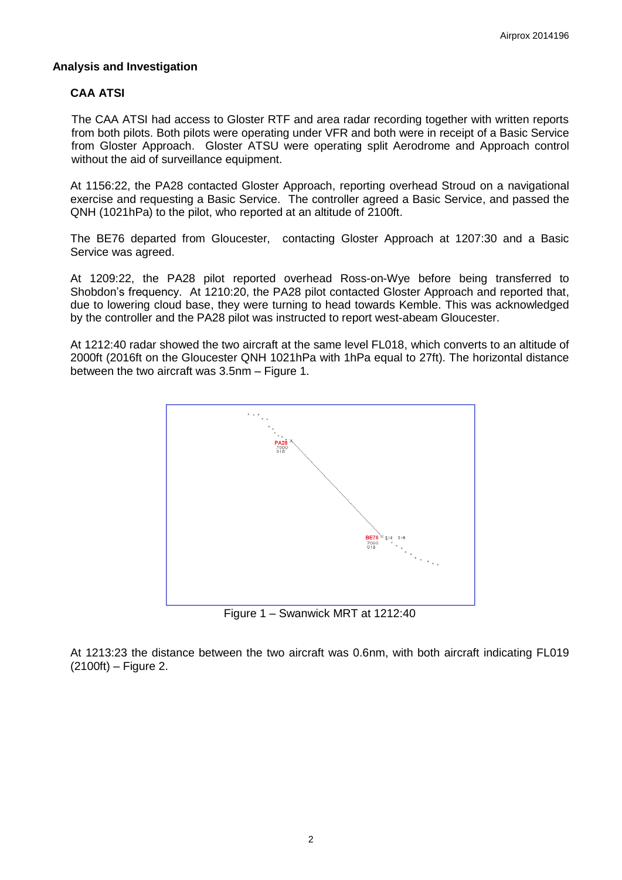#### **Analysis and Investigation**

### **CAA ATSI**

The CAA ATSI had access to Gloster RTF and area radar recording together with written reports from both pilots. Both pilots were operating under VFR and both were in receipt of a Basic Service from Gloster Approach. Gloster ATSU were operating split Aerodrome and Approach control without the aid of surveillance equipment.

At 1156:22, the PA28 contacted Gloster Approach, reporting overhead Stroud on a navigational exercise and requesting a Basic Service. The controller agreed a Basic Service, and passed the QNH (1021hPa) to the pilot, who reported at an altitude of 2100ft.

The BE76 departed from Gloucester, contacting Gloster Approach at 1207:30 and a Basic Service was agreed.

At 1209:22, the PA28 pilot reported overhead Ross-on-Wye before being transferred to Shobdon's frequency. At 1210:20, the PA28 pilot contacted Gloster Approach and reported that, due to lowering cloud base, they were turning to head towards Kemble. This was acknowledged by the controller and the PA28 pilot was instructed to report west-abeam Gloucester.

At 1212:40 radar showed the two aircraft at the same level FL018, which converts to an altitude of 2000ft (2016ft on the Gloucester QNH 1021hPa with 1hPa equal to 27ft). The horizontal distance between the two aircraft was 3.5nm – Figure 1.



Figure 1 – Swanwick MRT at 1212:40

At 1213:23 the distance between the two aircraft was 0.6nm, with both aircraft indicating FL019  $(2100ft)$  – Figure 2.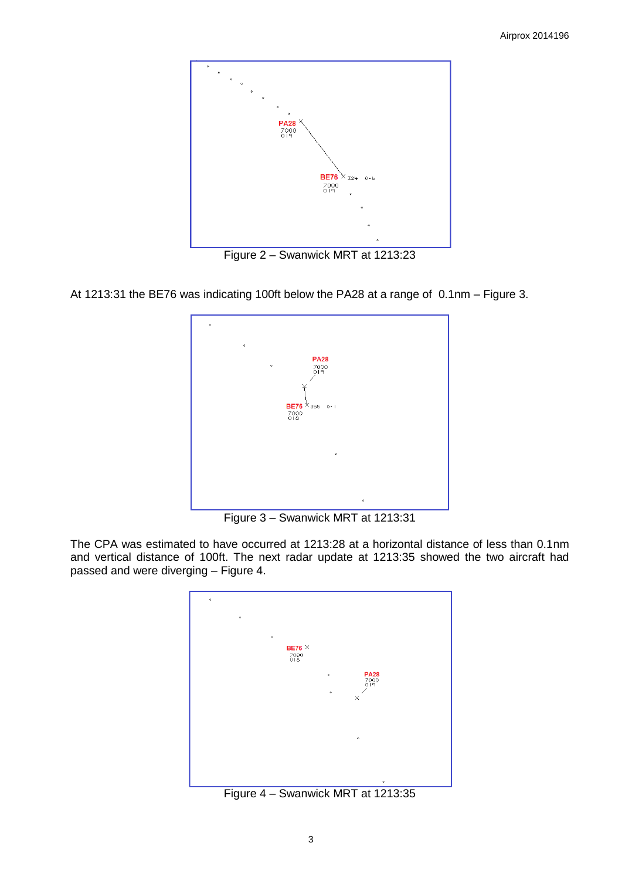

Figure 2 – Swanwick MRT at 1213:23

At 1213:31 the BE76 was indicating 100ft below the PA28 at a range of 0.1nm – Figure 3.



Figure 3 – Swanwick MRT at 1213:31

The CPA was estimated to have occurred at 1213:28 at a horizontal distance of less than 0.1nm and vertical distance of 100ft. The next radar update at 1213:35 showed the two aircraft had passed and were diverging – Figure 4.



Figure 4 – Swanwick MRT at 1213:35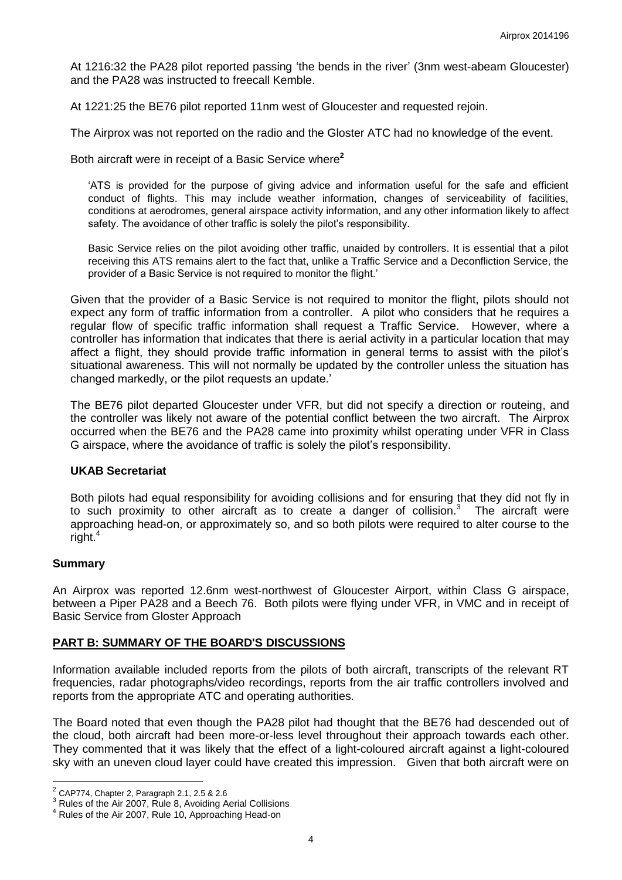At 1216:32 the PA28 pilot reported passing 'the bends in the river' (3nm west-abeam Gloucester) and the PA28 was instructed to freecall Kemble.

At 1221:25 the BE76 pilot reported 11nm west of Gloucester and requested rejoin.

The Airprox was not reported on the radio and the Gloster ATC had no knowledge of the event.

Both aircraft were in receipt of a Basic Service where**<sup>2</sup>**

'ATS is provided for the purpose of giving advice and information useful for the safe and efficient conduct of flights. This may include weather information, changes of serviceability of facilities, conditions at aerodromes, general airspace activity information, and any other information likely to affect safety. The avoidance of other traffic is solely the pilot's responsibility.

Basic Service relies on the pilot avoiding other traffic, unaided by controllers. It is essential that a pilot receiving this ATS remains alert to the fact that, unlike a Traffic Service and a Deconfliction Service, the provider of a Basic Service is not required to monitor the flight.'

Given that the provider of a Basic Service is not required to monitor the flight, pilots should not expect any form of traffic information from a controller. A pilot who considers that he requires a regular flow of specific traffic information shall request a Traffic Service. However, where a controller has information that indicates that there is aerial activity in a particular location that may affect a flight, they should provide traffic information in general terms to assist with the pilot's situational awareness. This will not normally be updated by the controller unless the situation has changed markedly, or the pilot requests an update.'

The BE76 pilot departed Gloucester under VFR, but did not specify a direction or routeing, and the controller was likely not aware of the potential conflict between the two aircraft. The Airprox occurred when the BE76 and the PA28 came into proximity whilst operating under VFR in Class G airspace, where the avoidance of traffic is solely the pilot's responsibility.

### **UKAB Secretariat**

Both pilots had equal responsibility for avoiding collisions and for ensuring that they did not fly in to such proximity to other aircraft as to create a danger of collision.<sup>3</sup> The aircraft were approaching head-on, or approximately so, and so both pilots were required to alter course to the right.<sup>4</sup>

### **Summary**

An Airprox was reported 12.6nm west-northwest of Gloucester Airport, within Class G airspace, between a Piper PA28 and a Beech 76. Both pilots were flying under VFR, in VMC and in receipt of Basic Service from Gloster Approach

## **PART B: SUMMARY OF THE BOARD'S DISCUSSIONS**

Information available included reports from the pilots of both aircraft, transcripts of the relevant RT frequencies, radar photographs/video recordings, reports from the air traffic controllers involved and reports from the appropriate ATC and operating authorities.

The Board noted that even though the PA28 pilot had thought that the BE76 had descended out of the cloud, both aircraft had been more-or-less level throughout their approach towards each other. They commented that it was likely that the effect of a light-coloured aircraft against a light-coloured sky with an uneven cloud layer could have created this impression. Given that both aircraft were on

 2 CAP774, Chapter 2, Paragraph 2.1, 2.5 & 2.6

 $3$  Rules of the Air 2007, Rule 8, Avoiding Aerial Collisions

<sup>4</sup> Rules of the Air 2007, Rule 10, Approaching Head-on